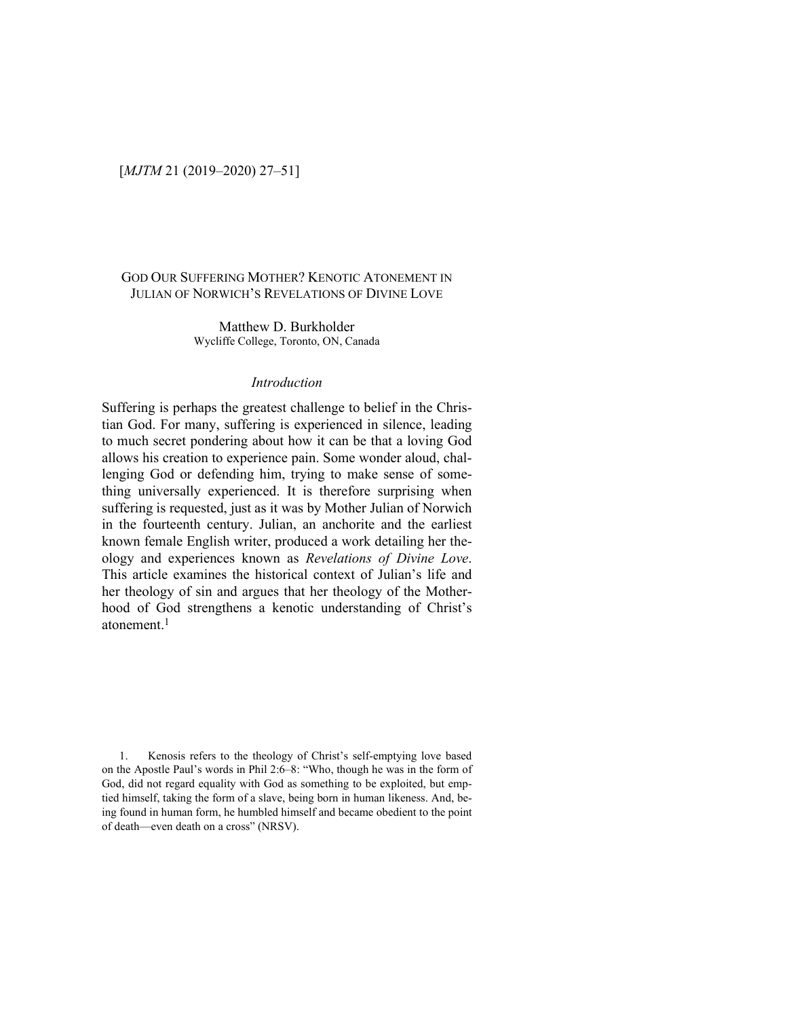# [*MJTM* 21 (2019–2020) 27–51]

# GOD OUR SUFFERING MOTHER? KENOTIC ATONEMENT IN JULIAN OF NORWICH'S REVELATIONS OF DIVINE LOVE

Matthew D. Burkholder Wycliffe College, Toronto, ON, Canada

## *Introduction*

Suffering is perhaps the greatest challenge to belief in the Christian God. For many, suffering is experienced in silence, leading to much secret pondering about how it can be that a loving God allows his creation to experience pain. Some wonder aloud, challenging God or defending him, trying to make sense of something universally experienced. It is therefore surprising when suffering is requested, just as it was by Mother Julian of Norwich in the fourteenth century. Julian, an anchorite and the earliest known female English writer, produced a work detailing her theology and experiences known as *Revelations of Divine Love*. This article examines the historical context of Julian's life and her theology of sin and argues that her theology of the Motherhood of God strengthens a kenotic understanding of Christ's atonement.<sup>1</sup>

1. Kenosis refers to the theology of Christ's self-emptying love based on the Apostle Paul's words in Phil 2:6–8: "Who, though he was in the form of God, did not regard equality with God as something to be exploited, but emptied himself, taking the form of a slave, being born in human likeness. And, being found in human form, he humbled himself and became obedient to the point of death—even death on a cross" (NRSV).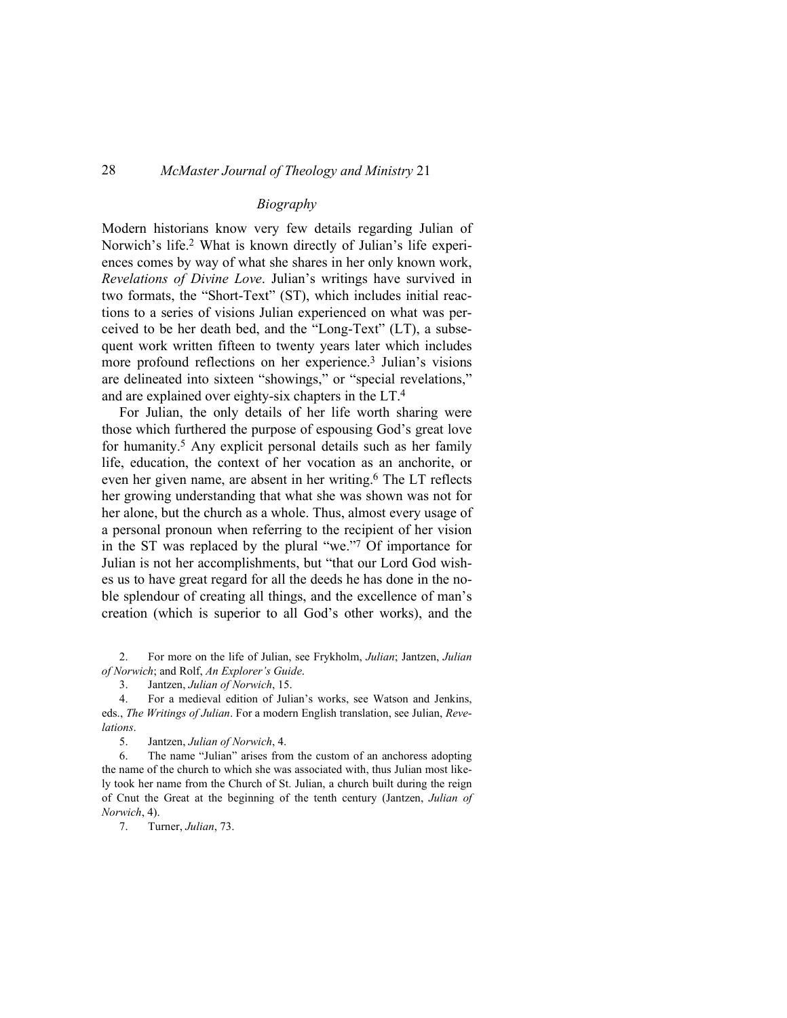## *Biography*

Modern historians know very few details regarding Julian of Norwich's life.2 What is known directly of Julian's life experiences comes by way of what she shares in her only known work, *Revelations of Divine Love*. Julian's writings have survived in two formats, the "Short-Text" (ST), which includes initial reactions to a series of visions Julian experienced on what was perceived to be her death bed, and the "Long-Text" (LT), a subsequent work written fifteen to twenty years later which includes more profound reflections on her experience.<sup>3</sup> Julian's visions are delineated into sixteen "showings," or "special revelations," and are explained over eighty-six chapters in the LT.<sup>4</sup>

For Julian, the only details of her life worth sharing were those which furthered the purpose of espousing God's great love for humanity.5 Any explicit personal details such as her family life, education, the context of her vocation as an anchorite, or even her given name, are absent in her writing.6 The LT reflects her growing understanding that what she was shown was not for her alone, but the church as a whole. Thus, almost every usage of a personal pronoun when referring to the recipient of her vision in the ST was replaced by the plural "we."7 Of importance for Julian is not her accomplishments, but "that our Lord God wishes us to have great regard for all the deeds he has done in the noble splendour of creating all things, and the excellence of man's creation (which is superior to all God's other works), and the

2. For more on the life of Julian, see Frykholm, *Julian*; Jantzen, *Julian of Norwich*; and Rolf, *An Explorer's Guide*.

3. Jantzen, *Julian of Norwich*, 15.

4. For a medieval edition of Julian's works, see Watson and Jenkins, eds., *The Writings of Julian*. For a modern English translation, see Julian, *Revelations*.

5. Jantzen, *Julian of Norwich*, 4.

6. The name "Julian" arises from the custom of an anchoress adopting the name of the church to which she was associated with, thus Julian most likely took her name from the Church of St. Julian, a church built during the reign of Cnut the Great at the beginning of the tenth century (Jantzen, *Julian of Norwich*, 4).

7. Turner, *Julian*, 73.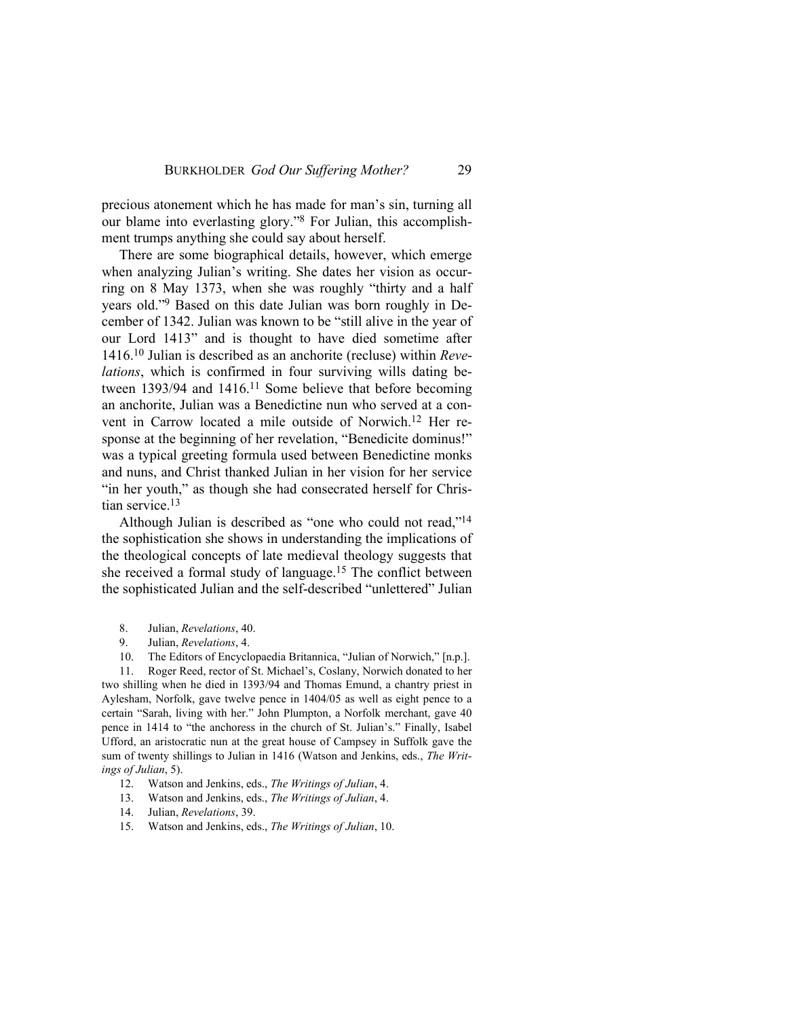precious atonement which he has made for man's sin, turning all our blame into everlasting glory."8 For Julian, this accomplishment trumps anything she could say about herself.

There are some biographical details, however, which emerge when analyzing Julian's writing. She dates her vision as occurring on 8 May 1373, when she was roughly "thirty and a half years old."9 Based on this date Julian was born roughly in December of 1342. Julian was known to be "still alive in the year of our Lord 1413" and is thought to have died sometime after 1416.10 Julian is described as an anchorite (recluse) within *Revelations*, which is confirmed in four surviving wills dating between 1393/94 and 1416.<sup>11</sup> Some believe that before becoming an anchorite, Julian was a Benedictine nun who served at a convent in Carrow located a mile outside of Norwich.12 Her response at the beginning of her revelation, "Benedicite dominus!" was a typical greeting formula used between Benedictine monks and nuns, and Christ thanked Julian in her vision for her service "in her youth," as though she had consecrated herself for Christian service.<sup>13</sup>

Although Julian is described as "one who could not read,"<sup>14</sup> the sophistication she shows in understanding the implications of the theological concepts of late medieval theology suggests that she received a formal study of language.15 The conflict between the sophisticated Julian and the self-described "unlettered" Julian

- 8. Julian, *Revelations*, 40.
- 9. Julian, *Revelations*, 4.
- 10. The Editors of Encyclopaedia Britannica, "Julian of Norwich," [n.p.].

11. Roger Reed, rector of St. Michael's, Coslany, Norwich donated to her two shilling when he died in 1393/94 and Thomas Emund, a chantry priest in Aylesham, Norfolk, gave twelve pence in 1404/05 as well as eight pence to a certain "Sarah, living with her." John Plumpton, a Norfolk merchant, gave 40 pence in 1414 to "the anchoress in the church of St. Julian's." Finally, Isabel Ufford, an aristocratic nun at the great house of Campsey in Suffolk gave the sum of twenty shillings to Julian in 1416 (Watson and Jenkins, eds., *The Writings of Julian*, 5).

- 12. Watson and Jenkins, eds., *The Writings of Julian*, 4.
- 13. Watson and Jenkins, eds., *The Writings of Julian*, 4.
- 14. Julian, *Revelations*, 39.
- 15. Watson and Jenkins, eds., *The Writings of Julian*, 10.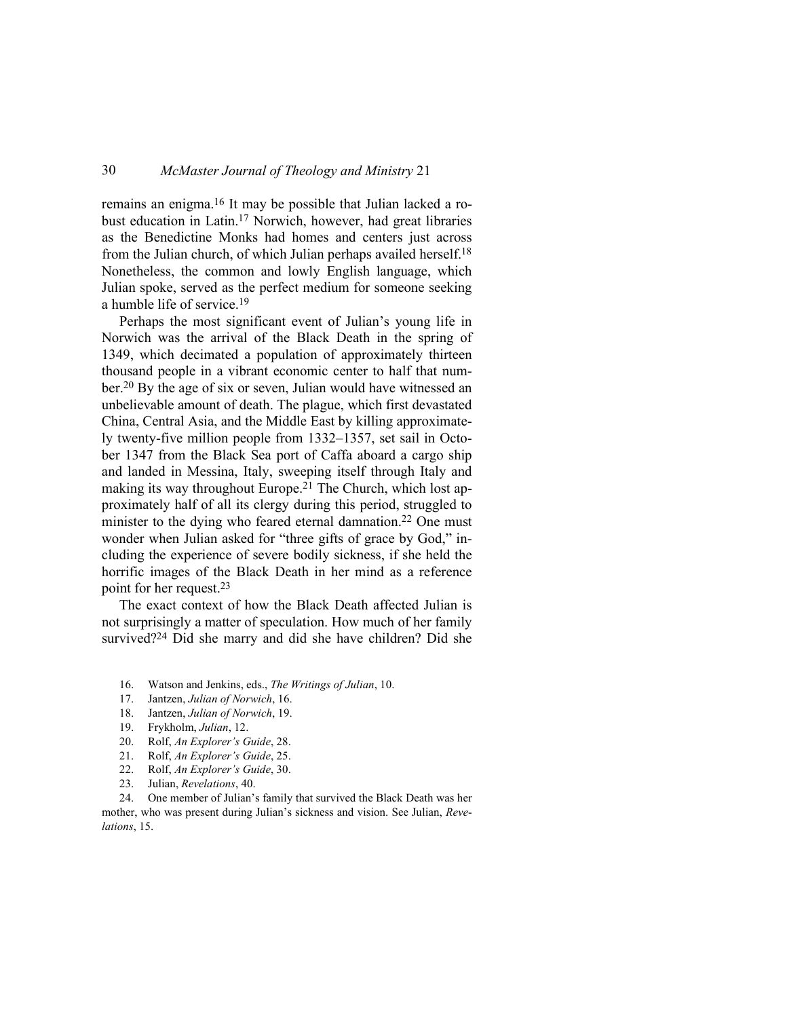remains an enigma.16 It may be possible that Julian lacked a robust education in Latin.17 Norwich, however, had great libraries as the Benedictine Monks had homes and centers just across from the Julian church, of which Julian perhaps availed herself.<sup>18</sup> Nonetheless, the common and lowly English language, which Julian spoke, served as the perfect medium for someone seeking a humble life of service.<sup>19</sup>

Perhaps the most significant event of Julian's young life in Norwich was the arrival of the Black Death in the spring of 1349, which decimated a population of approximately thirteen thousand people in a vibrant economic center to half that number.20 By the age of six or seven, Julian would have witnessed an unbelievable amount of death. The plague, which first devastated China, Central Asia, and the Middle East by killing approximately twenty-five million people from 1332–1357, set sail in October 1347 from the Black Sea port of Caffa aboard a cargo ship and landed in Messina, Italy, sweeping itself through Italy and making its way throughout Europe.21 The Church, which lost approximately half of all its clergy during this period, struggled to minister to the dying who feared eternal damnation.<sup>22</sup> One must wonder when Julian asked for "three gifts of grace by God," including the experience of severe bodily sickness, if she held the horrific images of the Black Death in her mind as a reference point for her request.<sup>23</sup>

The exact context of how the Black Death affected Julian is not surprisingly a matter of speculation. How much of her family survived?<sup>24</sup> Did she marry and did she have children? Did she

- 16. Watson and Jenkins, eds., *The Writings of Julian*, 10.
- 17. Jantzen, *Julian of Norwich*, 16.
- 18. Jantzen, *Julian of Norwich*, 19.
- 19. Frykholm, *Julian*, 12.
- 20. Rolf, *An Explorer's Guide*, 28.
- 21. Rolf, *An Explorer's Guide*, 25.
- 22. Rolf, *An Explorer's Guide*, 30.
- 23. Julian, *Revelations*, 40.

24. One member of Julian's family that survived the Black Death was her mother, who was present during Julian's sickness and vision. See Julian, *Revelations*, 15.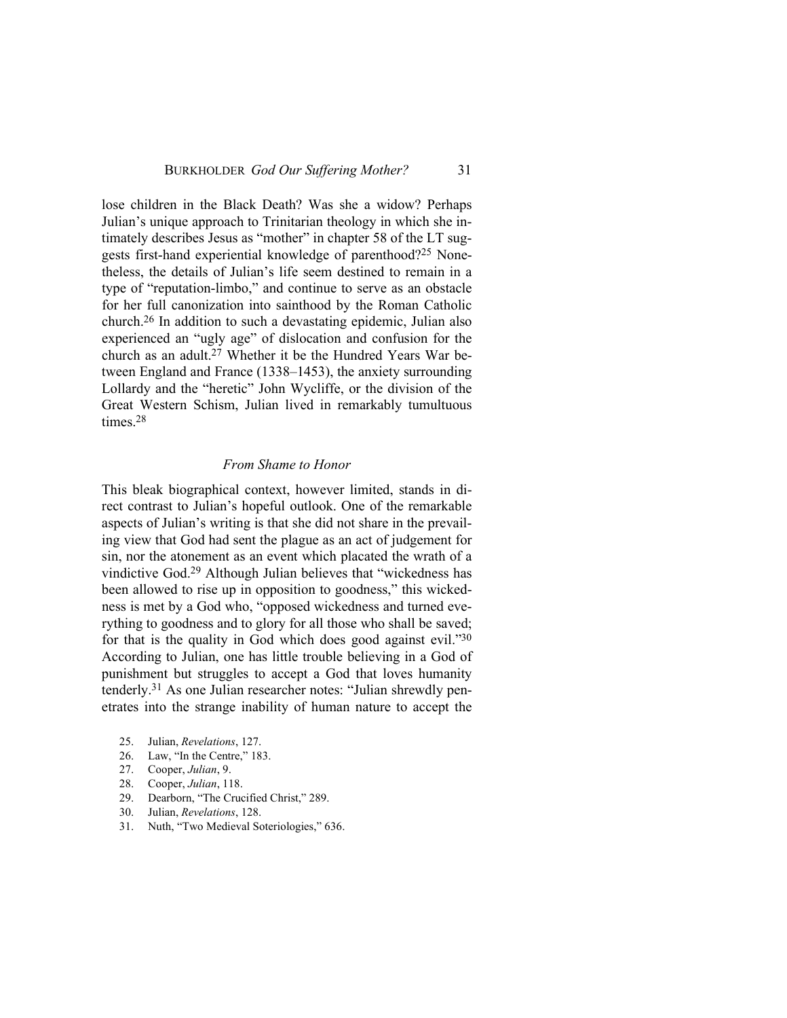lose children in the Black Death? Was she a widow? Perhaps Julian's unique approach to Trinitarian theology in which she intimately describes Jesus as "mother" in chapter 58 of the LT suggests first-hand experiential knowledge of parenthood?25 Nonetheless, the details of Julian's life seem destined to remain in a type of "reputation-limbo," and continue to serve as an obstacle for her full canonization into sainthood by the Roman Catholic church.26 In addition to such a devastating epidemic, Julian also experienced an "ugly age" of dislocation and confusion for the church as an adult.<sup>27</sup> Whether it be the Hundred Years War between England and France (1338–1453), the anxiety surrounding Lollardy and the "heretic" John Wycliffe, or the division of the Great Western Schism, Julian lived in remarkably tumultuous times.<sup>28</sup>

#### *From Shame to Honor*

This bleak biographical context, however limited, stands in direct contrast to Julian's hopeful outlook. One of the remarkable aspects of Julian's writing is that she did not share in the prevailing view that God had sent the plague as an act of judgement for sin, nor the atonement as an event which placated the wrath of a vindictive God.29 Although Julian believes that "wickedness has been allowed to rise up in opposition to goodness," this wickedness is met by a God who, "opposed wickedness and turned everything to goodness and to glory for all those who shall be saved; for that is the quality in God which does good against evil." $30$ According to Julian, one has little trouble believing in a God of punishment but struggles to accept a God that loves humanity tenderly.31 As one Julian researcher notes: "Julian shrewdly penetrates into the strange inability of human nature to accept the

- 25. Julian, *Revelations*, 127.
- 26. Law, "In the Centre," 183.
- 27. Cooper, *Julian*, 9.
- 28. Cooper, *Julian*, 118.
- 29. Dearborn, "The Crucified Christ," 289.
- 30. Julian, *Revelations*, 128.
- 31. Nuth, "Two Medieval Soteriologies," 636.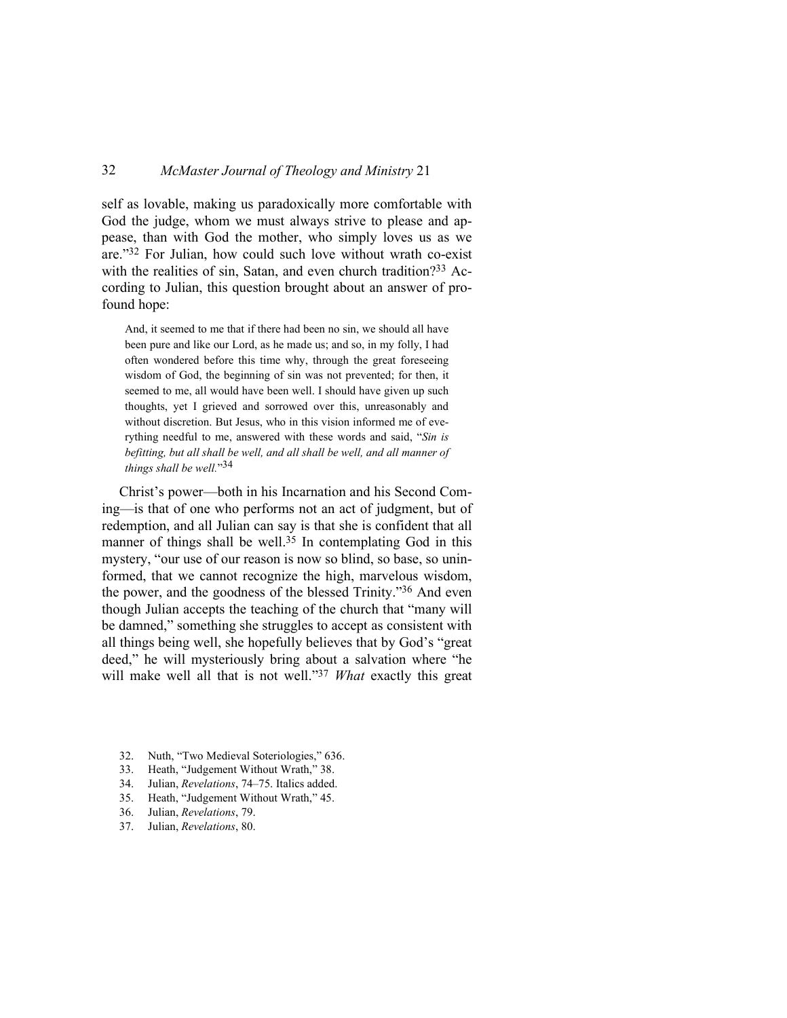self as lovable, making us paradoxically more comfortable with God the judge, whom we must always strive to please and appease, than with God the mother, who simply loves us as we are."32 For Julian, how could such love without wrath co-exist with the realities of sin, Satan, and even church tradition?<sup>33</sup> According to Julian, this question brought about an answer of profound hope:

And, it seemed to me that if there had been no sin, we should all have been pure and like our Lord, as he made us; and so, in my folly, I had often wondered before this time why, through the great foreseeing wisdom of God, the beginning of sin was not prevented; for then, it seemed to me, all would have been well. I should have given up such thoughts, yet I grieved and sorrowed over this, unreasonably and without discretion. But Jesus, who in this vision informed me of everything needful to me, answered with these words and said, "*Sin is befitting, but all shall be well, and all shall be well, and all manner of things shall be well.*" 34

Christ's power—both in his Incarnation and his Second Coming—is that of one who performs not an act of judgment, but of redemption, and all Julian can say is that she is confident that all manner of things shall be well.<sup>35</sup> In contemplating God in this mystery, "our use of our reason is now so blind, so base, so uninformed, that we cannot recognize the high, marvelous wisdom, the power, and the goodness of the blessed Trinity." <sup>36</sup> And even though Julian accepts the teaching of the church that "many will be damned," something she struggles to accept as consistent with all things being well, she hopefully believes that by God's "great deed," he will mysteriously bring about a salvation where "he will make well all that is not well."<sup>37</sup> *What* exactly this great

- 32. Nuth, "Two Medieval Soteriologies," 636.
- 33. Heath, "Judgement Without Wrath," 38.
- 34. Julian, *Revelations*, 74–75. Italics added.
- 35. Heath, "Judgement Without Wrath," 45.
- 36. Julian, *Revelations*, 79.
- 37. Julian, *Revelations*, 80.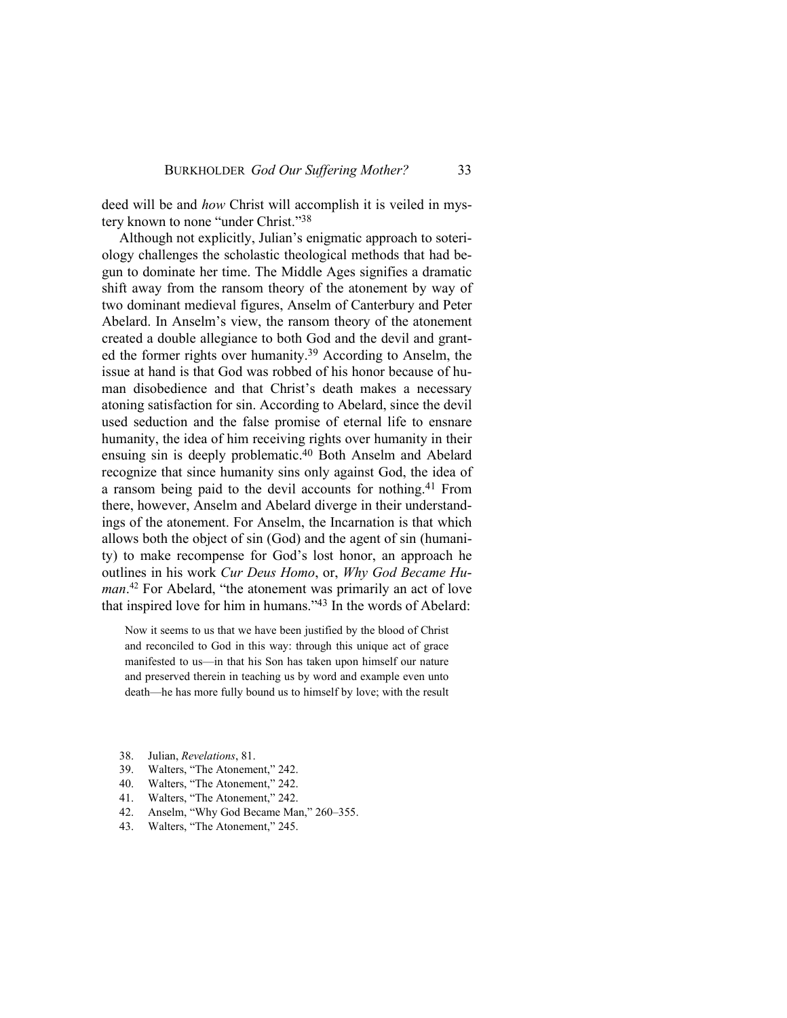deed will be and *how* Christ will accomplish it is veiled in mystery known to none "under Christ."<sup>38</sup>

Although not explicitly, Julian's enigmatic approach to soteriology challenges the scholastic theological methods that had begun to dominate her time. The Middle Ages signifies a dramatic shift away from the ransom theory of the atonement by way of two dominant medieval figures, Anselm of Canterbury and Peter Abelard. In Anselm's view, the ransom theory of the atonement created a double allegiance to both God and the devil and granted the former rights over humanity.39 According to Anselm, the issue at hand is that God was robbed of his honor because of human disobedience and that Christ's death makes a necessary atoning satisfaction for sin. According to Abelard, since the devil used seduction and the false promise of eternal life to ensnare humanity, the idea of him receiving rights over humanity in their ensuing sin is deeply problematic.40 Both Anselm and Abelard recognize that since humanity sins only against God, the idea of a ransom being paid to the devil accounts for nothing.41 From there, however, Anselm and Abelard diverge in their understandings of the atonement. For Anselm, the Incarnation is that which allows both the object of sin (God) and the agent of sin (humanity) to make recompense for God's lost honor, an approach he outlines in his work *Cur Deus Homo*, or, *Why God Became Human*. <sup>42</sup> For Abelard, "the atonement was primarily an act of love that inspired love for him in humans."43 In the words of Abelard:

Now it seems to us that we have been justified by the blood of Christ and reconciled to God in this way: through this unique act of grace manifested to us—in that his Son has taken upon himself our nature and preserved therein in teaching us by word and example even unto death—he has more fully bound us to himself by love; with the result

- 38. Julian, *Revelations*, 81.
- 39. Walters, "The Atonement," 242.
- 40. Walters, "The Atonement," 242.
- 41. Walters, "The Atonement," 242.
- 42. Anselm, "Why God Became Man," 260–355.
- 43. Walters, "The Atonement," 245.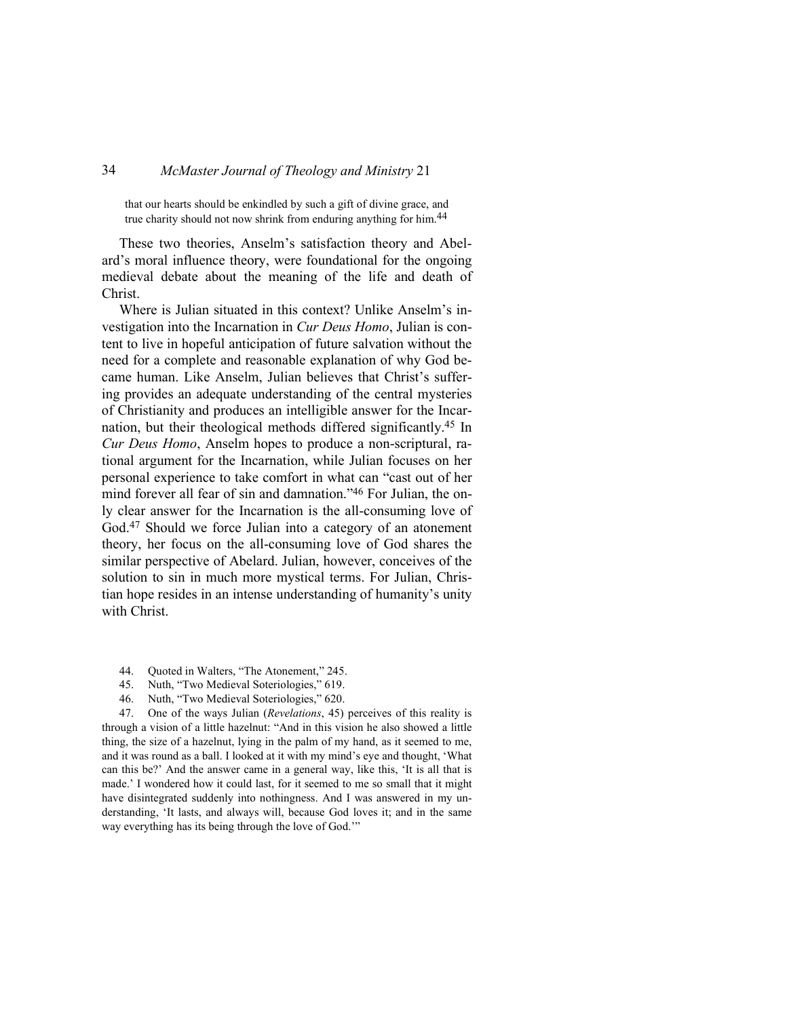that our hearts should be enkindled by such a gift of divine grace, and true charity should not now shrink from enduring anything for him.<sup>44</sup>

These two theories, Anselm's satisfaction theory and Abelard's moral influence theory, were foundational for the ongoing medieval debate about the meaning of the life and death of Christ.

Where is Julian situated in this context? Unlike Anselm's investigation into the Incarnation in *Cur Deus Homo*, Julian is content to live in hopeful anticipation of future salvation without the need for a complete and reasonable explanation of why God became human. Like Anselm, Julian believes that Christ's suffering provides an adequate understanding of the central mysteries of Christianity and produces an intelligible answer for the Incarnation, but their theological methods differed significantly.45 In *Cur Deus Homo*, Anselm hopes to produce a non-scriptural, rational argument for the Incarnation, while Julian focuses on her personal experience to take comfort in what can "cast out of her mind forever all fear of sin and damnation."46 For Julian, the only clear answer for the Incarnation is the all-consuming love of God.47 Should we force Julian into a category of an atonement theory, her focus on the all-consuming love of God shares the similar perspective of Abelard. Julian, however, conceives of the solution to sin in much more mystical terms. For Julian, Christian hope resides in an intense understanding of humanity's unity with Christ.

- 44. Quoted in Walters, "The Atonement," 245.
- 45. Nuth, "Two Medieval Soteriologies," 619.
- 46. Nuth, "Two Medieval Soteriologies," 620.

47. One of the ways Julian (*Revelations*, 45) perceives of this reality is through a vision of a little hazelnut: "And in this vision he also showed a little thing, the size of a hazelnut, lying in the palm of my hand, as it seemed to me, and it was round as a ball. I looked at it with my mind's eye and thought, 'What can this be?' And the answer came in a general way, like this, 'It is all that is made.' I wondered how it could last, for it seemed to me so small that it might have disintegrated suddenly into nothingness. And I was answered in my understanding, 'It lasts, and always will, because God loves it; and in the same way everything has its being through the love of God.'"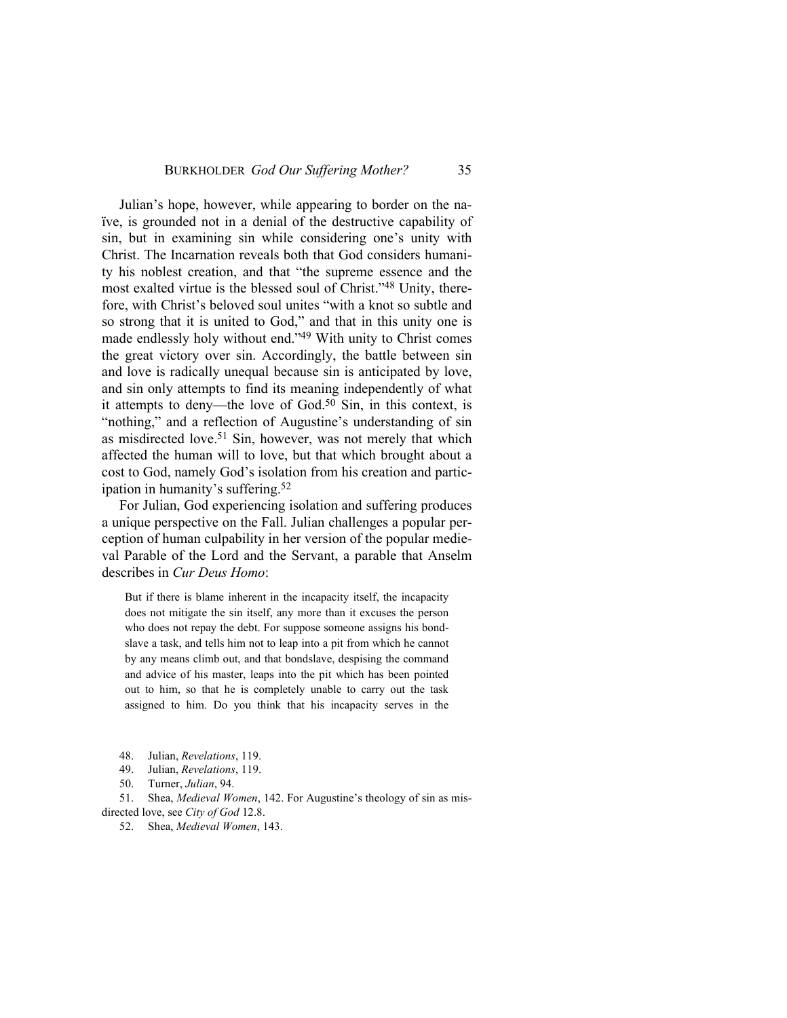### BURKHOLDER *God Our Suffering Mother?* 35

Julian's hope, however, while appearing to border on the naïve, is grounded not in a denial of the destructive capability of sin, but in examining sin while considering one's unity with Christ. The Incarnation reveals both that God considers humanity his noblest creation, and that "the supreme essence and the most exalted virtue is the blessed soul of Christ."48 Unity, therefore, with Christ's beloved soul unites "with a knot so subtle and so strong that it is united to God," and that in this unity one is made endlessly holy without end."49 With unity to Christ comes the great victory over sin. Accordingly, the battle between sin and love is radically unequal because sin is anticipated by love, and sin only attempts to find its meaning independently of what it attempts to deny—the love of God. $50$  Sin, in this context, is "nothing," and a reflection of Augustine's understanding of sin as misdirected love.<sup>51</sup> Sin, however, was not merely that which affected the human will to love, but that which brought about a cost to God, namely God's isolation from his creation and participation in humanity's suffering.<sup>52</sup>

For Julian, God experiencing isolation and suffering produces a unique perspective on the Fall. Julian challenges a popular perception of human culpability in her version of the popular medieval Parable of the Lord and the Servant, a parable that Anselm describes in *Cur Deus Homo*:

But if there is blame inherent in the incapacity itself, the incapacity does not mitigate the sin itself, any more than it excuses the person who does not repay the debt. For suppose someone assigns his bondslave a task, and tells him not to leap into a pit from which he cannot by any means climb out, and that bondslave, despising the command and advice of his master, leaps into the pit which has been pointed out to him, so that he is completely unable to carry out the task assigned to him. Do you think that his incapacity serves in the

48. Julian, *Revelations*, 119.

49. Julian, *Revelations*, 119.

50. Turner, *Julian*, 94.

51. Shea, *Medieval Women*, 142. For Augustine's theology of sin as misdirected love, see *City of God* 12.8.

52. Shea, *Medieval Women*, 143.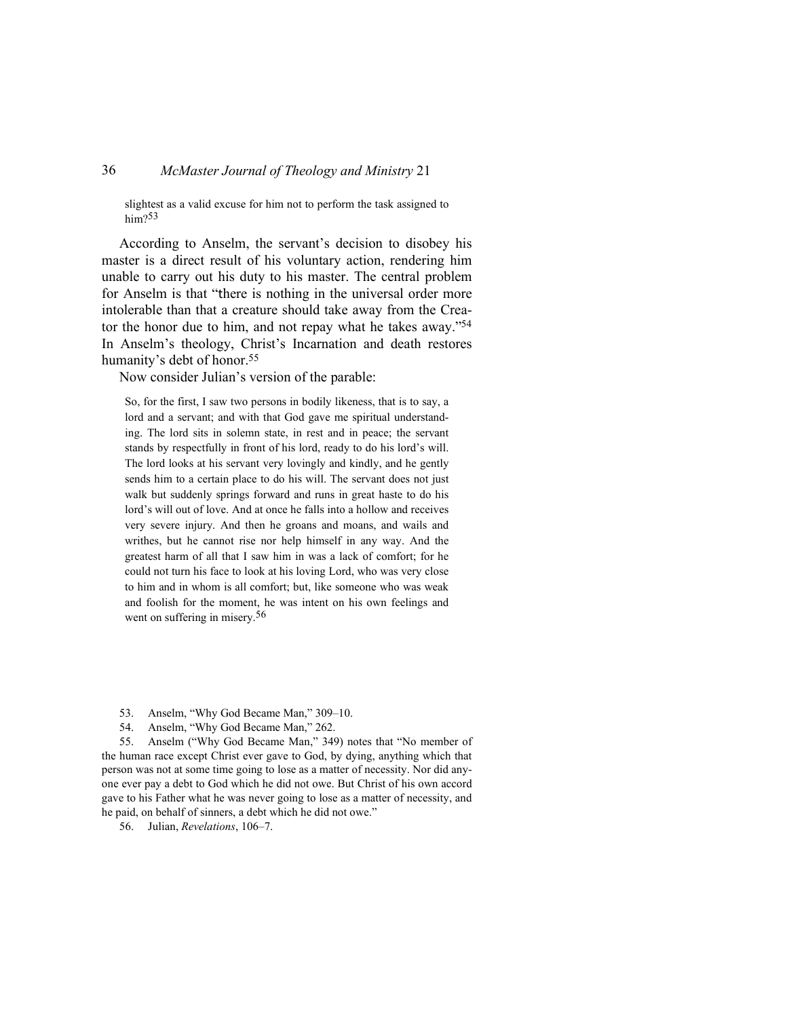slightest as a valid excuse for him not to perform the task assigned to him?53

According to Anselm, the servant's decision to disobey his master is a direct result of his voluntary action, rendering him unable to carry out his duty to his master. The central problem for Anselm is that "there is nothing in the universal order more intolerable than that a creature should take away from the Creator the honor due to him, and not repay what he takes away."<sup>54</sup> In Anselm's theology, Christ's Incarnation and death restores humanity's debt of honor.<sup>55</sup>

Now consider Julian's version of the parable:

So, for the first, I saw two persons in bodily likeness, that is to say, a lord and a servant; and with that God gave me spiritual understanding. The lord sits in solemn state, in rest and in peace; the servant stands by respectfully in front of his lord, ready to do his lord's will. The lord looks at his servant very lovingly and kindly, and he gently sends him to a certain place to do his will. The servant does not just walk but suddenly springs forward and runs in great haste to do his lord's will out of love. And at once he falls into a hollow and receives very severe injury. And then he groans and moans, and wails and writhes, but he cannot rise nor help himself in any way. And the greatest harm of all that I saw him in was a lack of comfort; for he could not turn his face to look at his loving Lord, who was very close to him and in whom is all comfort; but, like someone who was weak and foolish for the moment, he was intent on his own feelings and went on suffering in misery.<sup>56</sup>

- 53. Anselm, "Why God Became Man," 309–10.
- 54. Anselm, "Why God Became Man," 262.

55. Anselm ("Why God Became Man," 349) notes that "No member of the human race except Christ ever gave to God, by dying, anything which that person was not at some time going to lose as a matter of necessity. Nor did anyone ever pay a debt to God which he did not owe. But Christ of his own accord gave to his Father what he was never going to lose as a matter of necessity, and he paid, on behalf of sinners, a debt which he did not owe."

56. Julian, *Revelations*, 106–7.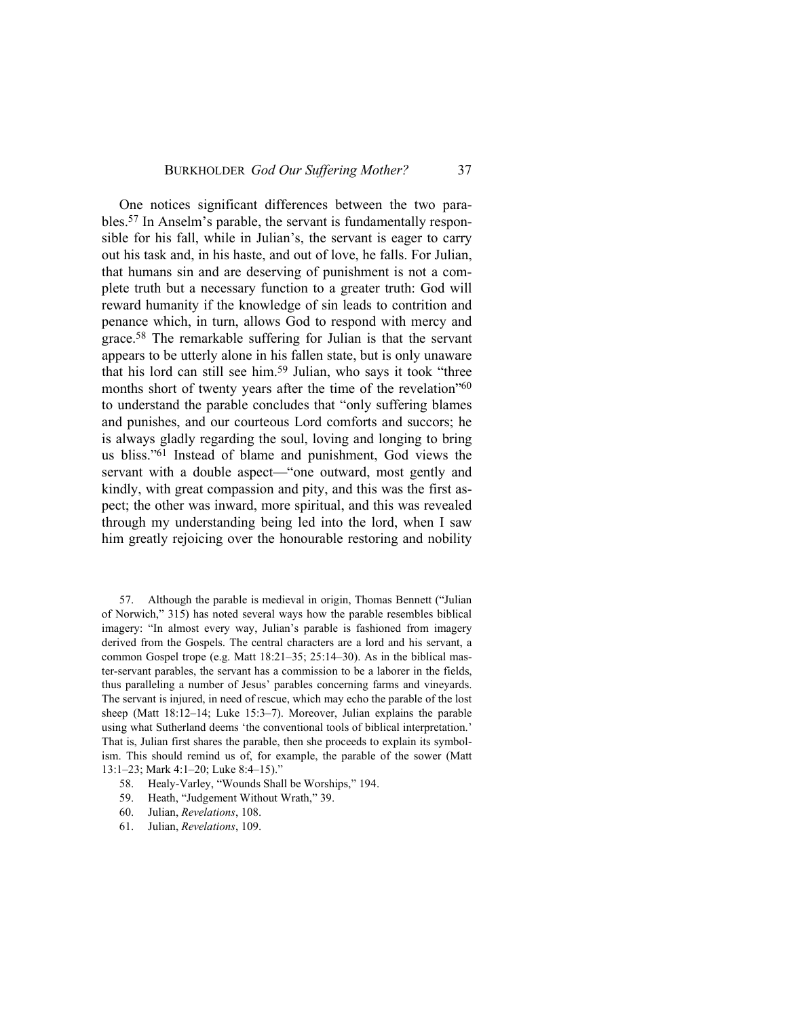## BURKHOLDER *God Our Suffering Mother?* 37

One notices significant differences between the two parables.57 In Anselm's parable, the servant is fundamentally responsible for his fall, while in Julian's, the servant is eager to carry out his task and, in his haste, and out of love, he falls. For Julian, that humans sin and are deserving of punishment is not a complete truth but a necessary function to a greater truth: God will reward humanity if the knowledge of sin leads to contrition and penance which, in turn, allows God to respond with mercy and grace.58 The remarkable suffering for Julian is that the servant appears to be utterly alone in his fallen state, but is only unaware that his lord can still see him.59 Julian, who says it took "three months short of twenty years after the time of the revelation"<sup>60</sup> to understand the parable concludes that "only suffering blames and punishes, and our courteous Lord comforts and succors; he is always gladly regarding the soul, loving and longing to bring us bliss."61 Instead of blame and punishment, God views the servant with a double aspect—"one outward, most gently and kindly, with great compassion and pity, and this was the first aspect; the other was inward, more spiritual, and this was revealed through my understanding being led into the lord, when I saw him greatly rejoicing over the honourable restoring and nobility

57. Although the parable is medieval in origin, Thomas Bennett ("Julian of Norwich," 315) has noted several ways how the parable resembles biblical imagery: "In almost every way, Julian's parable is fashioned from imagery derived from the Gospels. The central characters are a lord and his servant, a common Gospel trope (e.g. Matt 18:21–35; 25:14–30). As in the biblical master-servant parables, the servant has a commission to be a laborer in the fields, thus paralleling a number of Jesus' parables concerning farms and vineyards. The servant is injured, in need of rescue, which may echo the parable of the lost sheep (Matt 18:12–14; Luke 15:3–7). Moreover, Julian explains the parable using what Sutherland deems 'the conventional tools of biblical interpretation.' That is, Julian first shares the parable, then she proceeds to explain its symbolism. This should remind us of, for example, the parable of the sower (Matt 13:1–23; Mark 4:1–20; Luke 8:4–15)."

- 58. Healy-Varley, "Wounds Shall be Worships," 194.
- 59. Heath, "Judgement Without Wrath," 39.
- 60. Julian, *Revelations*, 108.
- 61. Julian, *Revelations*, 109.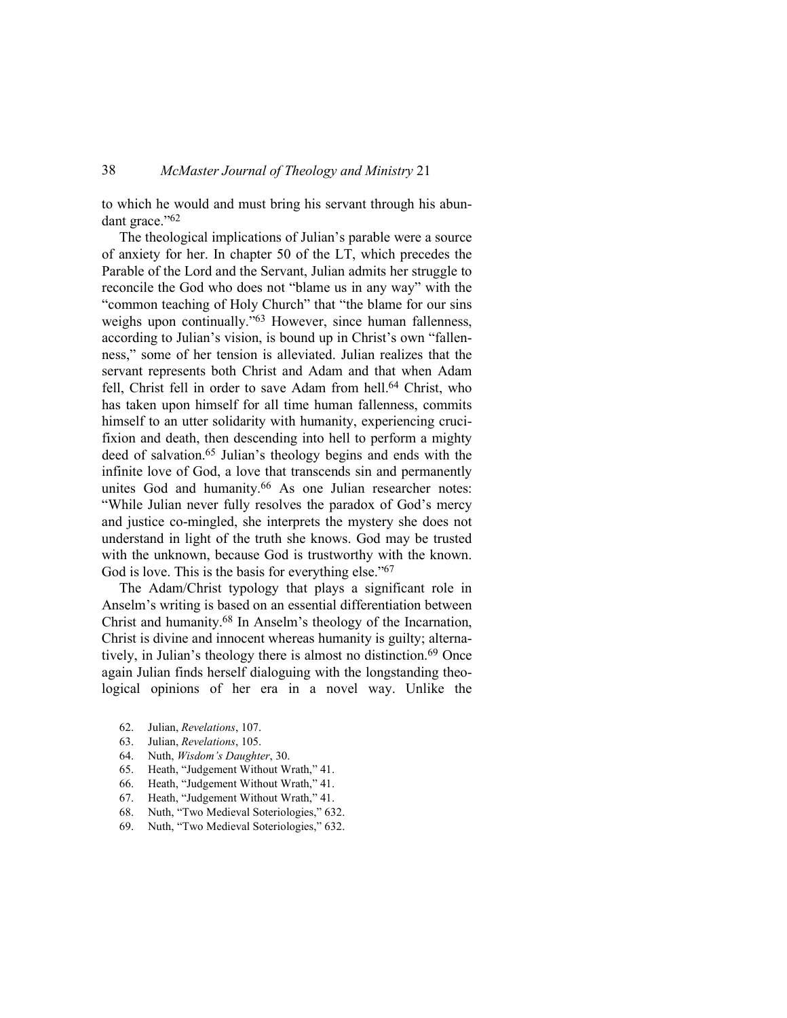to which he would and must bring his servant through his abundant grace."<sup>62</sup>

The theological implications of Julian's parable were a source of anxiety for her. In chapter 50 of the LT, which precedes the Parable of the Lord and the Servant, Julian admits her struggle to reconcile the God who does not "blame us in any way" with the "common teaching of Holy Church" that "the blame for our sins weighs upon continually."<sup>63</sup> However, since human fallenness, according to Julian's vision, is bound up in Christ's own "fallenness," some of her tension is alleviated. Julian realizes that the servant represents both Christ and Adam and that when Adam fell, Christ fell in order to save Adam from hell.<sup>64</sup> Christ, who has taken upon himself for all time human fallenness, commits himself to an utter solidarity with humanity, experiencing crucifixion and death, then descending into hell to perform a mighty deed of salvation.65 Julian's theology begins and ends with the infinite love of God, a love that transcends sin and permanently unites God and humanity.<sup>66</sup> As one Julian researcher notes: "While Julian never fully resolves the paradox of God's mercy and justice co-mingled, she interprets the mystery she does not understand in light of the truth she knows. God may be trusted with the unknown, because God is trustworthy with the known. God is love. This is the basis for everything else."<sup>67</sup>

The Adam/Christ typology that plays a significant role in Anselm's writing is based on an essential differentiation between Christ and humanity.68 In Anselm's theology of the Incarnation, Christ is divine and innocent whereas humanity is guilty; alternatively, in Julian's theology there is almost no distinction.<sup>69</sup> Once again Julian finds herself dialoguing with the longstanding theological opinions of her era in a novel way. Unlike the

- 62. Julian, *Revelations*, 107.
- 63. Julian, *Revelations*, 105.
- 64. Nuth, *Wisdom's Daughter*, 30.
- 65. Heath, "Judgement Without Wrath," 41.
- 66. Heath, "Judgement Without Wrath," 41.
- 67. Heath, "Judgement Without Wrath," 41.
- 68. Nuth, "Two Medieval Soteriologies," 632.
- 69. Nuth, "Two Medieval Soteriologies," 632.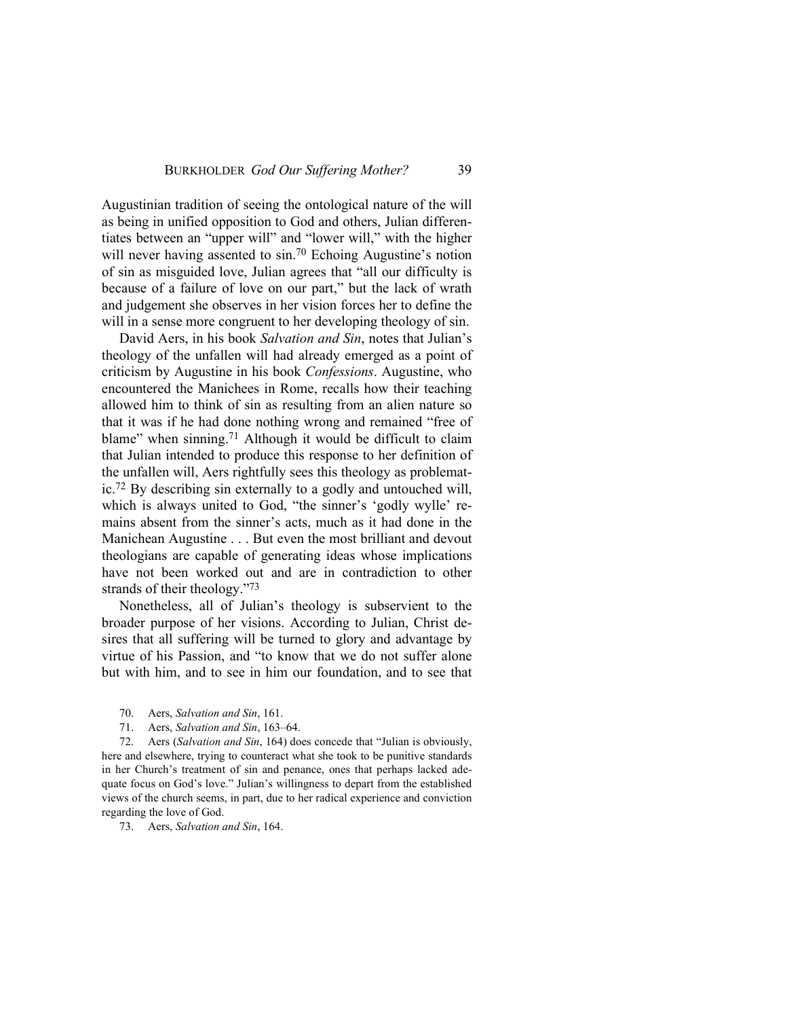Augustinian tradition of seeing the ontological nature of the will as being in unified opposition to God and others, Julian differentiates between an "upper will" and "lower will," with the higher will never having assented to sin.<sup>70</sup> Echoing Augustine's notion of sin as misguided love, Julian agrees that "all our difficulty is because of a failure of love on our part," but the lack of wrath and judgement she observes in her vision forces her to define the will in a sense more congruent to her developing theology of sin.

David Aers, in his book *Salvation and Sin*, notes that Julian's theology of the unfallen will had already emerged as a point of criticism by Augustine in his book *Confessions*. Augustine, who encountered the Manichees in Rome, recalls how their teaching allowed him to think of sin as resulting from an alien nature so that it was if he had done nothing wrong and remained "free of blame" when sinning.<sup>71</sup> Although it would be difficult to claim that Julian intended to produce this response to her definition of the unfallen will, Aers rightfully sees this theology as problematic.72 By describing sin externally to a godly and untouched will, which is always united to God, "the sinner's 'godly wylle' remains absent from the sinner's acts, much as it had done in the Manichean Augustine . . . But even the most brilliant and devout theologians are capable of generating ideas whose implications have not been worked out and are in contradiction to other strands of their theology."<sup>73</sup>

Nonetheless, all of Julian's theology is subservient to the broader purpose of her visions. According to Julian, Christ desires that all suffering will be turned to glory and advantage by virtue of his Passion, and "to know that we do not suffer alone but with him, and to see in him our foundation, and to see that

- 70. Aers, *Salvation and Sin*, 161.
- 71. Aers, *Salvation and Sin*, 163–64.

72. Aers (*Salvation and Sin*, 164) does concede that "Julian is obviously, here and elsewhere, trying to counteract what she took to be punitive standards in her Church's treatment of sin and penance, ones that perhaps lacked adequate focus on God's love." Julian's willingness to depart from the established views of the church seems, in part, due to her radical experience and conviction regarding the love of God.

73. Aers, *Salvation and Sin*, 164.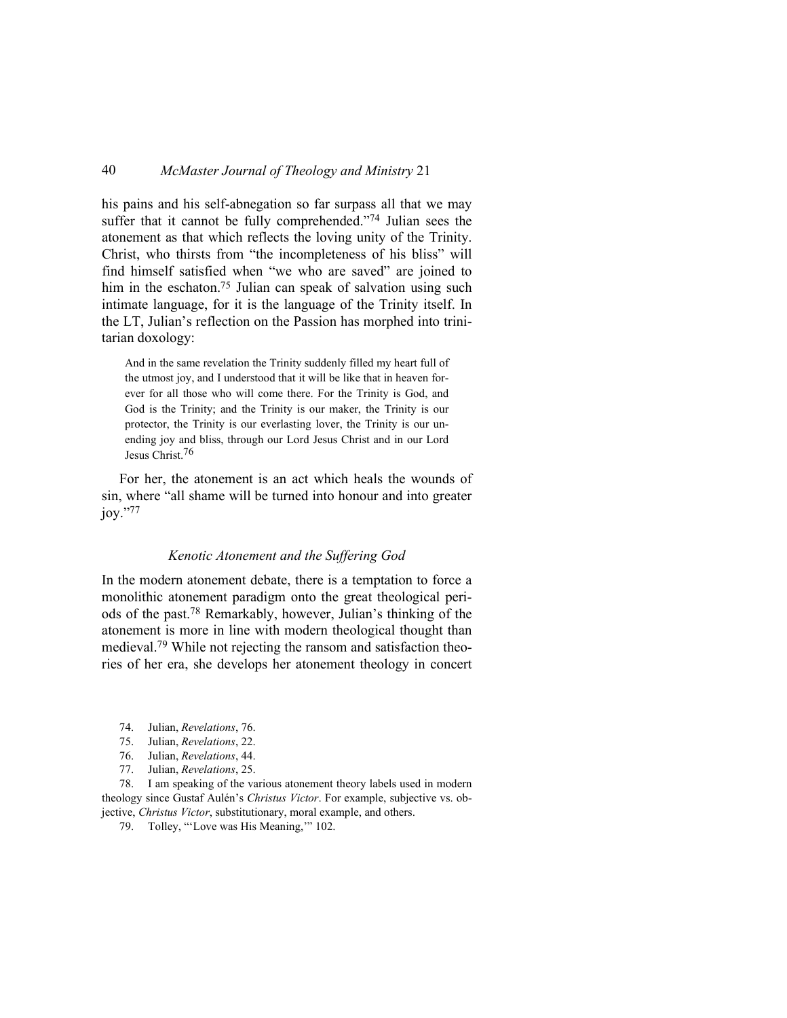his pains and his self-abnegation so far surpass all that we may suffer that it cannot be fully comprehended."74 Julian sees the atonement as that which reflects the loving unity of the Trinity. Christ, who thirsts from "the incompleteness of his bliss" will find himself satisfied when "we who are saved" are joined to him in the eschaton.<sup>75</sup> Julian can speak of salvation using such intimate language, for it is the language of the Trinity itself. In the LT, Julian's reflection on the Passion has morphed into trinitarian doxology:

And in the same revelation the Trinity suddenly filled my heart full of the utmost joy, and I understood that it will be like that in heaven forever for all those who will come there. For the Trinity is God, and God is the Trinity; and the Trinity is our maker, the Trinity is our protector, the Trinity is our everlasting lover, the Trinity is our unending joy and bliss, through our Lord Jesus Christ and in our Lord Jesus Christ.76

For her, the atonement is an act which heals the wounds of sin, where "all shame will be turned into honour and into greater joy."<sup>77</sup>

#### *Kenotic Atonement and the Suffering God*

In the modern atonement debate, there is a temptation to force a monolithic atonement paradigm onto the great theological periods of the past.78 Remarkably, however, Julian's thinking of the atonement is more in line with modern theological thought than medieval.79 While not rejecting the ransom and satisfaction theories of her era, she develops her atonement theology in concert

- 74. Julian, *Revelations*, 76.
- 75. Julian, *Revelations*, 22.
- 76. Julian, *Revelations*, 44.
- 77. Julian, *Revelations*, 25.

78. I am speaking of the various atonement theory labels used in modern theology since Gustaf Aulén's *Christus Victor*. For example, subjective vs. objective, *Christus Victor*, substitutionary, moral example, and others.

79. Tolley, "'Love was His Meaning,'" 102.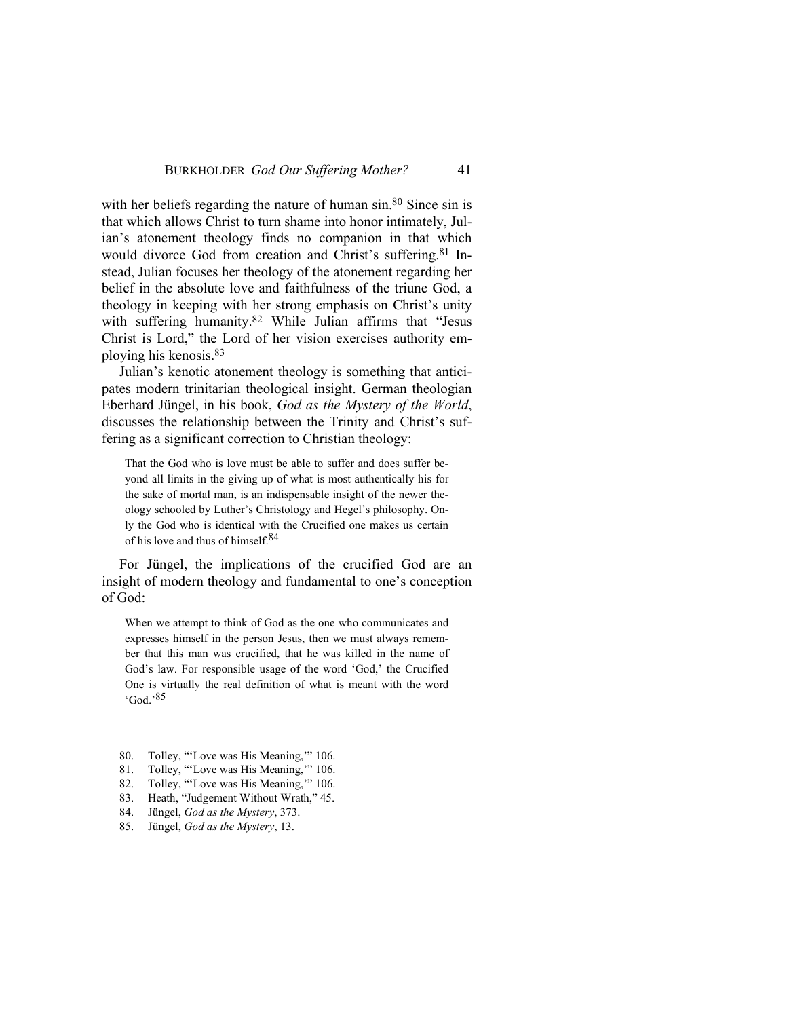with her beliefs regarding the nature of human sin.<sup>80</sup> Since sin is that which allows Christ to turn shame into honor intimately, Julian's atonement theology finds no companion in that which would divorce God from creation and Christ's suffering.<sup>81</sup> Instead, Julian focuses her theology of the atonement regarding her belief in the absolute love and faithfulness of the triune God, a theology in keeping with her strong emphasis on Christ's unity with suffering humanity.<sup>82</sup> While Julian affirms that "Jesus Christ is Lord," the Lord of her vision exercises authority employing his kenosis.<sup>83</sup>

Julian's kenotic atonement theology is something that anticipates modern trinitarian theological insight. German theologian Eberhard Jüngel, in his book, *God as the Mystery of the World*, discusses the relationship between the Trinity and Christ's suffering as a significant correction to Christian theology:

That the God who is love must be able to suffer and does suffer beyond all limits in the giving up of what is most authentically his for the sake of mortal man, is an indispensable insight of the newer theology schooled by Luther's Christology and Hegel's philosophy. Only the God who is identical with the Crucified one makes us certain of his love and thus of himself.84

For Jüngel, the implications of the crucified God are an insight of modern theology and fundamental to one's conception of God:

When we attempt to think of God as the one who communicates and expresses himself in the person Jesus, then we must always remember that this man was crucified, that he was killed in the name of God's law. For responsible usage of the word 'God,' the Crucified One is virtually the real definition of what is meant with the word  $'God.^85$ 

- 80. Tolley, "'Love was His Meaning,'" 106.
- 81. Tolley, "'Love was His Meaning,'" 106.
- 82. Tolley, "'Love was His Meaning,'" 106.
- 83. Heath, "Judgement Without Wrath," 45.
- 84. Jüngel, *God as the Mystery*, 373.
- 85. Jüngel, *God as the Mystery*, 13.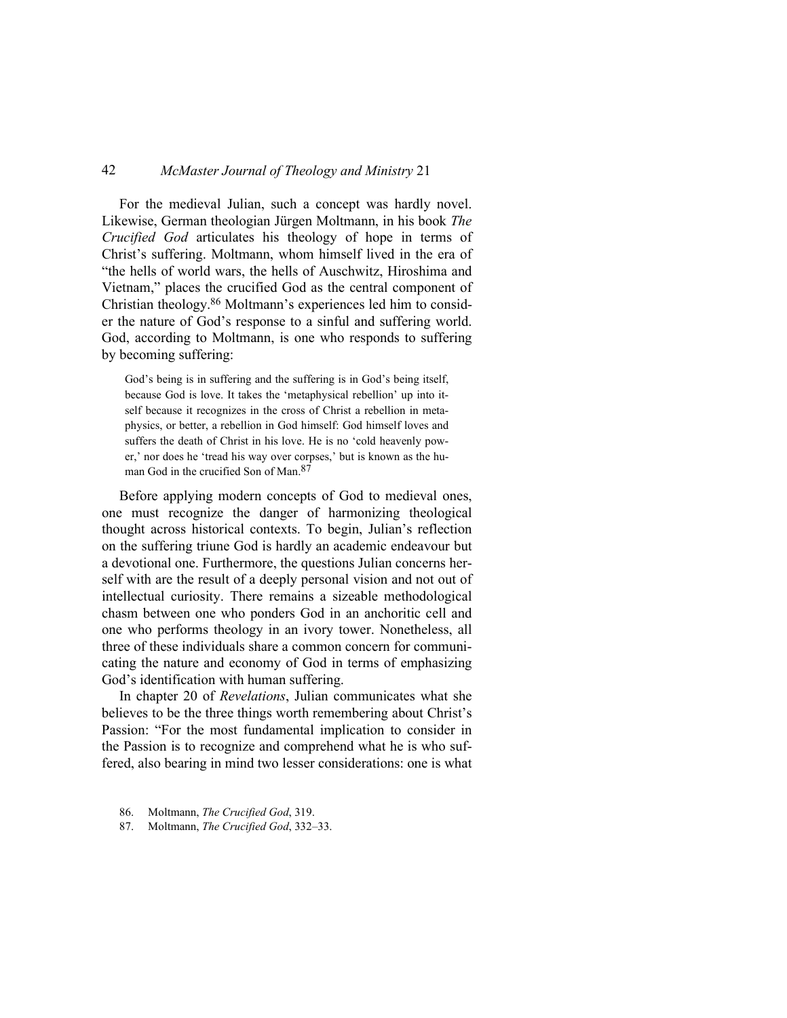For the medieval Julian, such a concept was hardly novel. Likewise, German theologian Jürgen Moltmann, in his book *The Crucified God* articulates his theology of hope in terms of Christ's suffering. Moltmann, whom himself lived in the era of "the hells of world wars, the hells of Auschwitz, Hiroshima and Vietnam," places the crucified God as the central component of Christian theology.86 Moltmann's experiences led him to consider the nature of God's response to a sinful and suffering world. God, according to Moltmann, is one who responds to suffering by becoming suffering:

God's being is in suffering and the suffering is in God's being itself, because God is love. It takes the 'metaphysical rebellion' up into itself because it recognizes in the cross of Christ a rebellion in metaphysics, or better, a rebellion in God himself: God himself loves and suffers the death of Christ in his love. He is no 'cold heavenly power,' nor does he 'tread his way over corpses,' but is known as the human God in the crucified Son of Man.87

Before applying modern concepts of God to medieval ones, one must recognize the danger of harmonizing theological thought across historical contexts. To begin, Julian's reflection on the suffering triune God is hardly an academic endeavour but a devotional one. Furthermore, the questions Julian concerns herself with are the result of a deeply personal vision and not out of intellectual curiosity. There remains a sizeable methodological chasm between one who ponders God in an anchoritic cell and one who performs theology in an ivory tower. Nonetheless, all three of these individuals share a common concern for communicating the nature and economy of God in terms of emphasizing God's identification with human suffering.

In chapter 20 of *Revelations*, Julian communicates what she believes to be the three things worth remembering about Christ's Passion: "For the most fundamental implication to consider in the Passion is to recognize and comprehend what he is who suffered, also bearing in mind two lesser considerations: one is what

- 86. Moltmann, *The Crucified God*, 319.
- 87. Moltmann, *The Crucified God*, 332–33.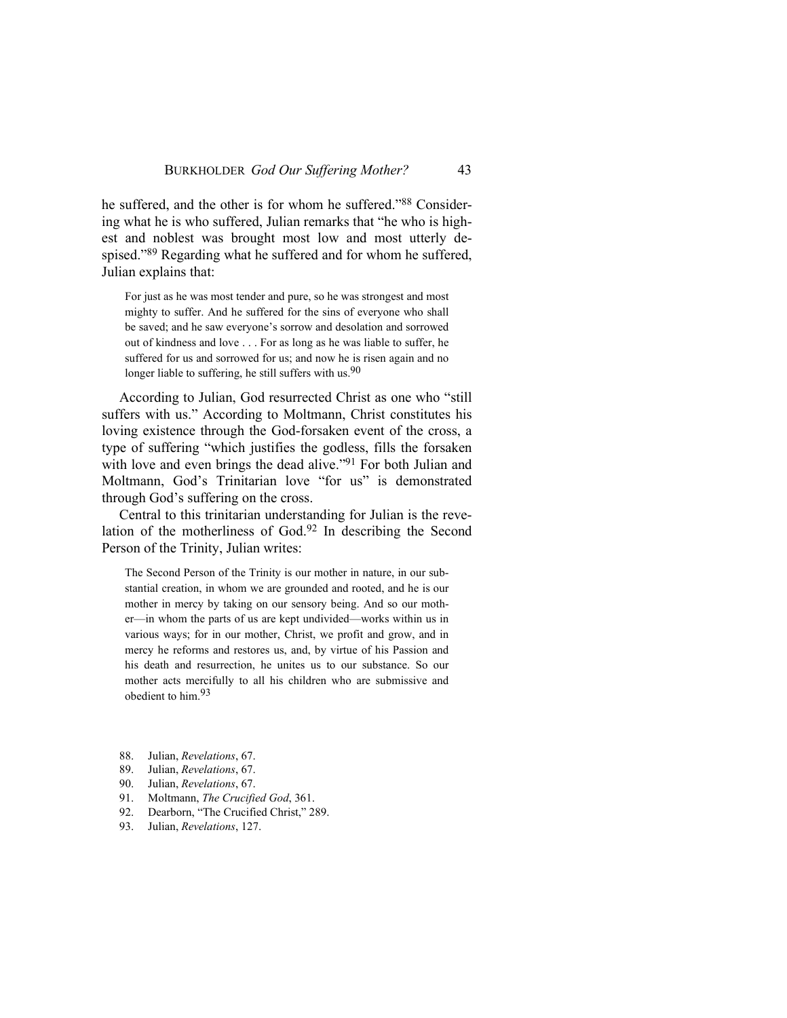he suffered, and the other is for whom he suffered." 88 Considering what he is who suffered, Julian remarks that "he who is highest and noblest was brought most low and most utterly despised."89 Regarding what he suffered and for whom he suffered, Julian explains that:

For just as he was most tender and pure, so he was strongest and most mighty to suffer. And he suffered for the sins of everyone who shall be saved; and he saw everyone's sorrow and desolation and sorrowed out of kindness and love . . . For as long as he was liable to suffer, he suffered for us and sorrowed for us; and now he is risen again and no longer liable to suffering, he still suffers with us.<sup>90</sup>

According to Julian, God resurrected Christ as one who "still suffers with us." According to Moltmann, Christ constitutes his loving existence through the God-forsaken event of the cross, a type of suffering "which justifies the godless, fills the forsaken with love and even brings the dead alive."<sup>91</sup> For both Julian and Moltmann, God's Trinitarian love "for us" is demonstrated through God's suffering on the cross.

Central to this trinitarian understanding for Julian is the revelation of the motherliness of God.92 In describing the Second Person of the Trinity, Julian writes:

The Second Person of the Trinity is our mother in nature, in our substantial creation, in whom we are grounded and rooted, and he is our mother in mercy by taking on our sensory being. And so our mother—in whom the parts of us are kept undivided—works within us in various ways; for in our mother, Christ, we profit and grow, and in mercy he reforms and restores us, and, by virtue of his Passion and his death and resurrection, he unites us to our substance. So our mother acts mercifully to all his children who are submissive and obedient to him.93

- 88. Julian, *Revelations*, 67.
- 89. Julian, *Revelations*, 67.
- 90. Julian, *Revelations*, 67.
- 91. Moltmann, *The Crucified God*, 361.
- 92. Dearborn, "The Crucified Christ," 289.
- 93. Julian, *Revelations*, 127.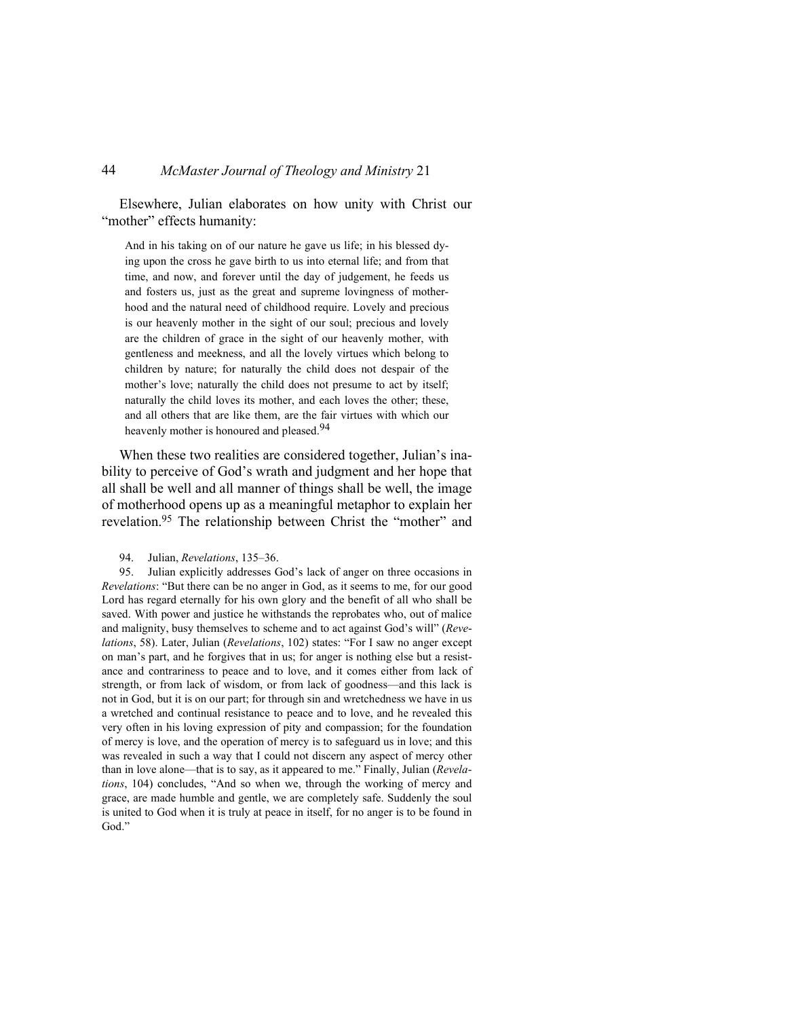Elsewhere, Julian elaborates on how unity with Christ our "mother" effects humanity:

And in his taking on of our nature he gave us life; in his blessed dying upon the cross he gave birth to us into eternal life; and from that time, and now, and forever until the day of judgement, he feeds us and fosters us, just as the great and supreme lovingness of motherhood and the natural need of childhood require. Lovely and precious is our heavenly mother in the sight of our soul; precious and lovely are the children of grace in the sight of our heavenly mother, with gentleness and meekness, and all the lovely virtues which belong to children by nature; for naturally the child does not despair of the mother's love; naturally the child does not presume to act by itself; naturally the child loves its mother, and each loves the other; these, and all others that are like them, are the fair virtues with which our heavenly mother is honoured and pleased.<sup>94</sup>

When these two realities are considered together, Julian's inability to perceive of God's wrath and judgment and her hope that all shall be well and all manner of things shall be well, the image of motherhood opens up as a meaningful metaphor to explain her revelation.95 The relationship between Christ the "mother" and

94. Julian, *Revelations*, 135–36.

95. Julian explicitly addresses God's lack of anger on three occasions in *Revelations*: "But there can be no anger in God, as it seems to me, for our good Lord has regard eternally for his own glory and the benefit of all who shall be saved. With power and justice he withstands the reprobates who, out of malice and malignity, busy themselves to scheme and to act against God's will" (*Revelations*, 58). Later, Julian (*Revelations*, 102) states: "For I saw no anger except on man's part, and he forgives that in us; for anger is nothing else but a resistance and contrariness to peace and to love, and it comes either from lack of strength, or from lack of wisdom, or from lack of goodness—and this lack is not in God, but it is on our part; for through sin and wretchedness we have in us a wretched and continual resistance to peace and to love, and he revealed this very often in his loving expression of pity and compassion; for the foundation of mercy is love, and the operation of mercy is to safeguard us in love; and this was revealed in such a way that I could not discern any aspect of mercy other than in love alone—that is to say, as it appeared to me." Finally, Julian (*Revelations*, 104) concludes, "And so when we, through the working of mercy and grace, are made humble and gentle, we are completely safe. Suddenly the soul is united to God when it is truly at peace in itself, for no anger is to be found in God."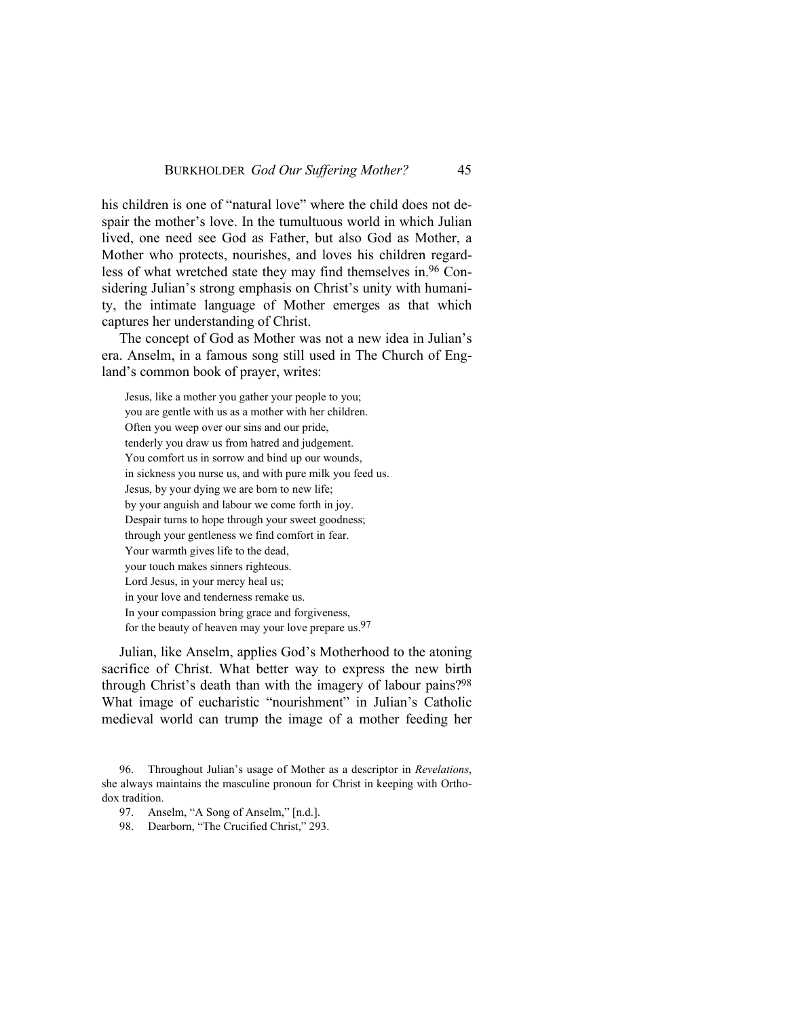his children is one of "natural love" where the child does not despair the mother's love. In the tumultuous world in which Julian lived, one need see God as Father, but also God as Mother, a Mother who protects, nourishes, and loves his children regardless of what wretched state they may find themselves in.96 Considering Julian's strong emphasis on Christ's unity with humanity, the intimate language of Mother emerges as that which captures her understanding of Christ.

The concept of God as Mother was not a new idea in Julian's era. Anselm, in a famous song still used in The Church of England's common book of prayer, writes:

Jesus, like a mother you gather your people to you; you are gentle with us as a mother with her children. Often you weep over our sins and our pride, tenderly you draw us from hatred and judgement. You comfort us in sorrow and bind up our wounds, in sickness you nurse us, and with pure milk you feed us. Jesus, by your dying we are born to new life; by your anguish and labour we come forth in joy. Despair turns to hope through your sweet goodness; through your gentleness we find comfort in fear. Your warmth gives life to the dead, your touch makes sinners righteous. Lord Jesus, in your mercy heal us; in your love and tenderness remake us. In your compassion bring grace and forgiveness, for the beauty of heaven may your love prepare us.<sup>97</sup>

Julian, like Anselm, applies God's Motherhood to the atoning sacrifice of Christ. What better way to express the new birth through Christ's death than with the imagery of labour pains?<sup>98</sup> What image of eucharistic "nourishment" in Julian's Catholic medieval world can trump the image of a mother feeding her

<sup>96.</sup> Throughout Julian's usage of Mother as a descriptor in *Revelations*, she always maintains the masculine pronoun for Christ in keeping with Orthodox tradition.

<sup>97.</sup> Anselm, "A Song of Anselm," [n.d.].

<sup>98.</sup> Dearborn, "The Crucified Christ," 293.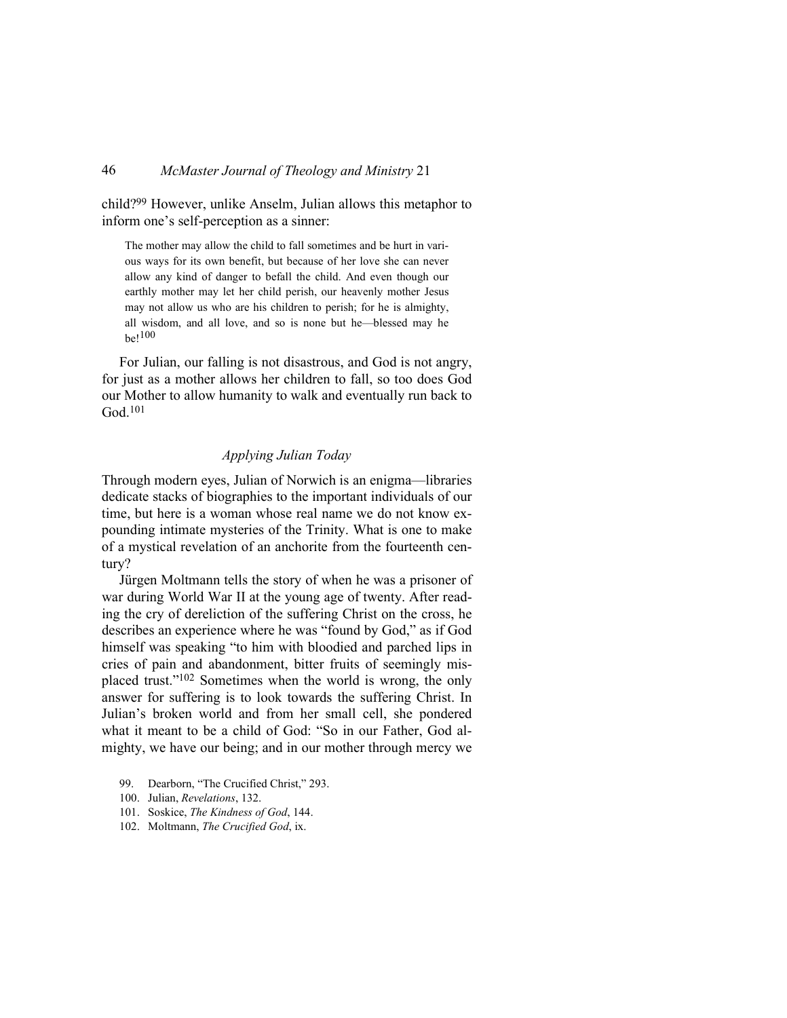child?99 However, unlike Anselm, Julian allows this metaphor to inform one's self-perception as a sinner:

The mother may allow the child to fall sometimes and be hurt in various ways for its own benefit, but because of her love she can never allow any kind of danger to befall the child. And even though our earthly mother may let her child perish, our heavenly mother Jesus may not allow us who are his children to perish; for he is almighty, all wisdom, and all love, and so is none but he—blessed may he be!<sup>100</sup>

For Julian, our falling is not disastrous, and God is not angry, for just as a mother allows her children to fall, so too does God our Mother to allow humanity to walk and eventually run back to God.<sup>101</sup>

## *Applying Julian Today*

Through modern eyes, Julian of Norwich is an enigma—libraries dedicate stacks of biographies to the important individuals of our time, but here is a woman whose real name we do not know expounding intimate mysteries of the Trinity. What is one to make of a mystical revelation of an anchorite from the fourteenth century?

Jürgen Moltmann tells the story of when he was a prisoner of war during World War II at the young age of twenty. After reading the cry of dereliction of the suffering Christ on the cross, he describes an experience where he was "found by God," as if God himself was speaking "to him with bloodied and parched lips in cries of pain and abandonment, bitter fruits of seemingly misplaced trust."102 Sometimes when the world is wrong, the only answer for suffering is to look towards the suffering Christ. In Julian's broken world and from her small cell, she pondered what it meant to be a child of God: "So in our Father, God almighty, we have our being; and in our mother through mercy we

- 99. Dearborn, "The Crucified Christ," 293.
- 100. Julian, *Revelations*, 132.
- 101. Soskice, *The Kindness of God*, 144.
- 102. Moltmann, *The Crucified God*, ix.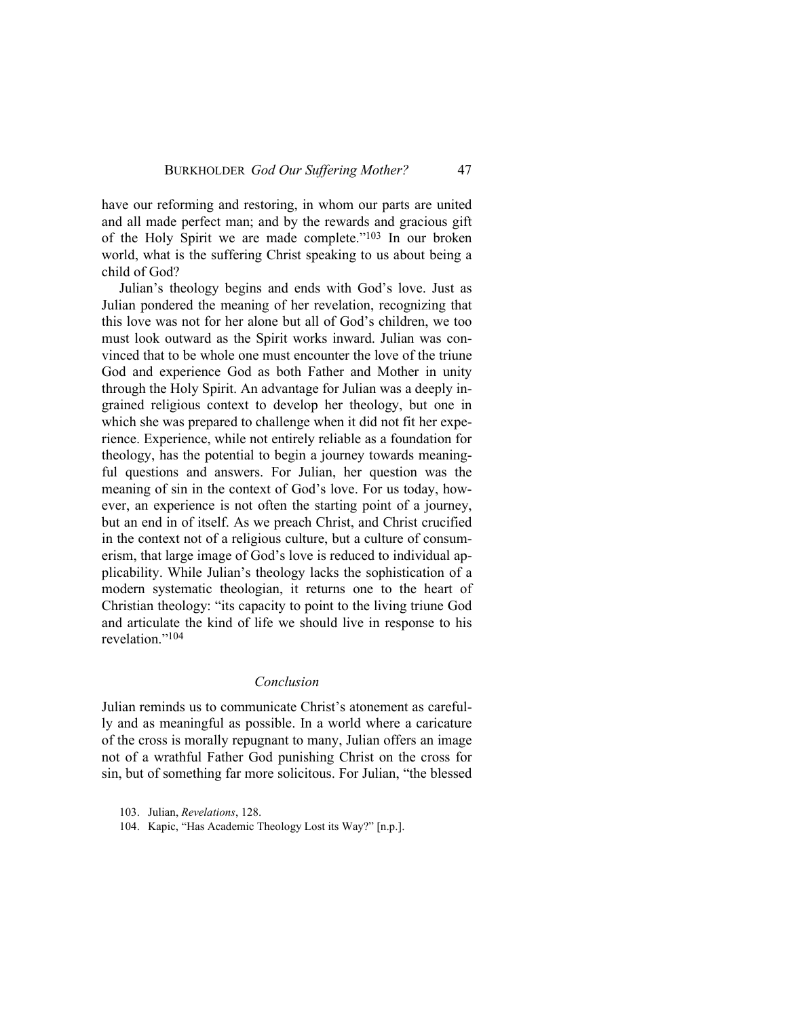have our reforming and restoring, in whom our parts are united and all made perfect man; and by the rewards and gracious gift of the Holy Spirit we are made complete."103 In our broken world, what is the suffering Christ speaking to us about being a child of God?

Julian's theology begins and ends with God's love. Just as Julian pondered the meaning of her revelation, recognizing that this love was not for her alone but all of God's children, we too must look outward as the Spirit works inward. Julian was convinced that to be whole one must encounter the love of the triune God and experience God as both Father and Mother in unity through the Holy Spirit. An advantage for Julian was a deeply ingrained religious context to develop her theology, but one in which she was prepared to challenge when it did not fit her experience. Experience, while not entirely reliable as a foundation for theology, has the potential to begin a journey towards meaningful questions and answers. For Julian, her question was the meaning of sin in the context of God's love. For us today, however, an experience is not often the starting point of a journey, but an end in of itself. As we preach Christ, and Christ crucified in the context not of a religious culture, but a culture of consumerism, that large image of God's love is reduced to individual applicability. While Julian's theology lacks the sophistication of a modern systematic theologian, it returns one to the heart of Christian theology: "its capacity to point to the living triune God and articulate the kind of life we should live in response to his revelation."<sup>104</sup>

#### *Conclusion*

Julian reminds us to communicate Christ's atonement as carefully and as meaningful as possible. In a world where a caricature of the cross is morally repugnant to many, Julian offers an image not of a wrathful Father God punishing Christ on the cross for sin, but of something far more solicitous. For Julian, "the blessed

<sup>103.</sup> Julian, *Revelations*, 128.

<sup>104.</sup> Kapic, "Has Academic Theology Lost its Way?" [n.p.].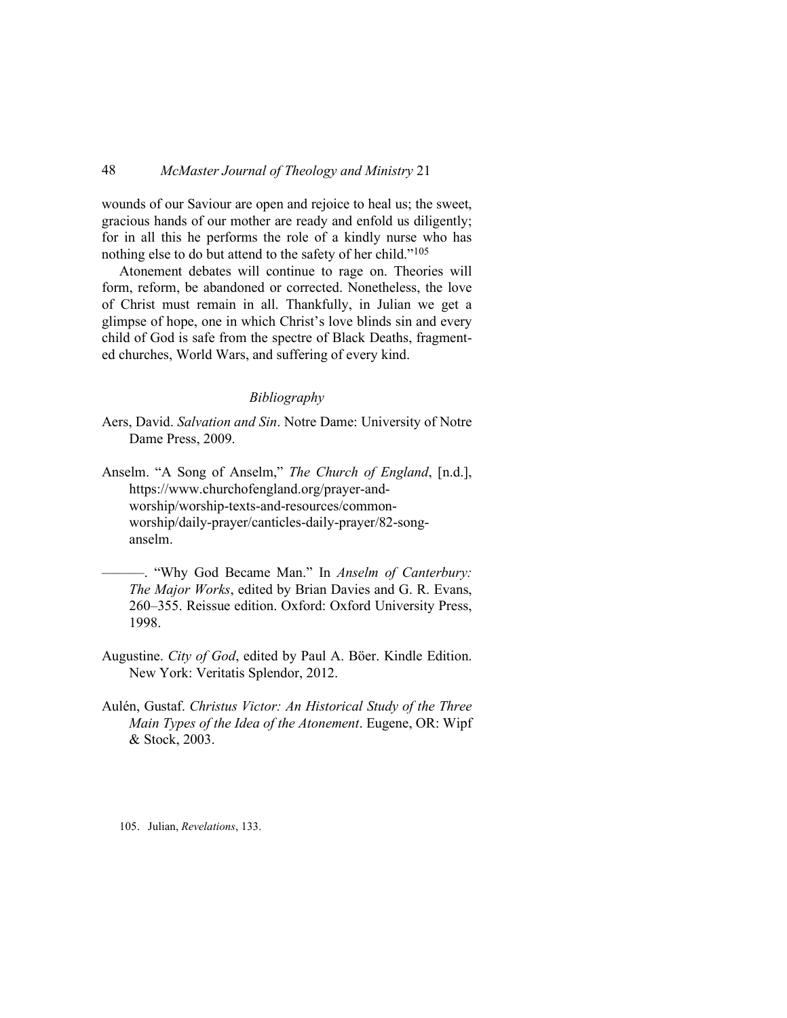wounds of our Saviour are open and rejoice to heal us; the sweet, gracious hands of our mother are ready and enfold us diligently; for in all this he performs the role of a kindly nurse who has nothing else to do but attend to the safety of her child."<sup>105</sup>

Atonement debates will continue to rage on. Theories will form, reform, be abandoned or corrected. Nonetheless, the love of Christ must remain in all. Thankfully, in Julian we get a glimpse of hope, one in which Christ's love blinds sin and every child of God is safe from the spectre of Black Deaths, fragmented churches, World Wars, and suffering of every kind.

## *Bibliography*

- Aers, David. *Salvation and Sin*. Notre Dame: University of Notre Dame Press, 2009.
- Anselm. "A Song of Anselm," *The Church of England*, [n.d.], https://www.churchofengland.org/prayer-andworship/worship-texts-and-resources/commonworship/daily-prayer/canticles-daily-prayer/82-songanselm.
	- ———. "Why God Became Man." In *Anselm of Canterbury: The Major Works*, edited by Brian Davies and G. R. Evans, 260–355. Reissue edition. Oxford: Oxford University Press, 1998.
- Augustine. *City of God*, edited by Paul A. Böer. Kindle Edition. New York: Veritatis Splendor, 2012.
- Aulén, Gustaf. *Christus Victor: An Historical Study of the Three Main Types of the Idea of the Atonement*. Eugene, OR: Wipf & Stock, 2003.

105. Julian, *Revelations*, 133.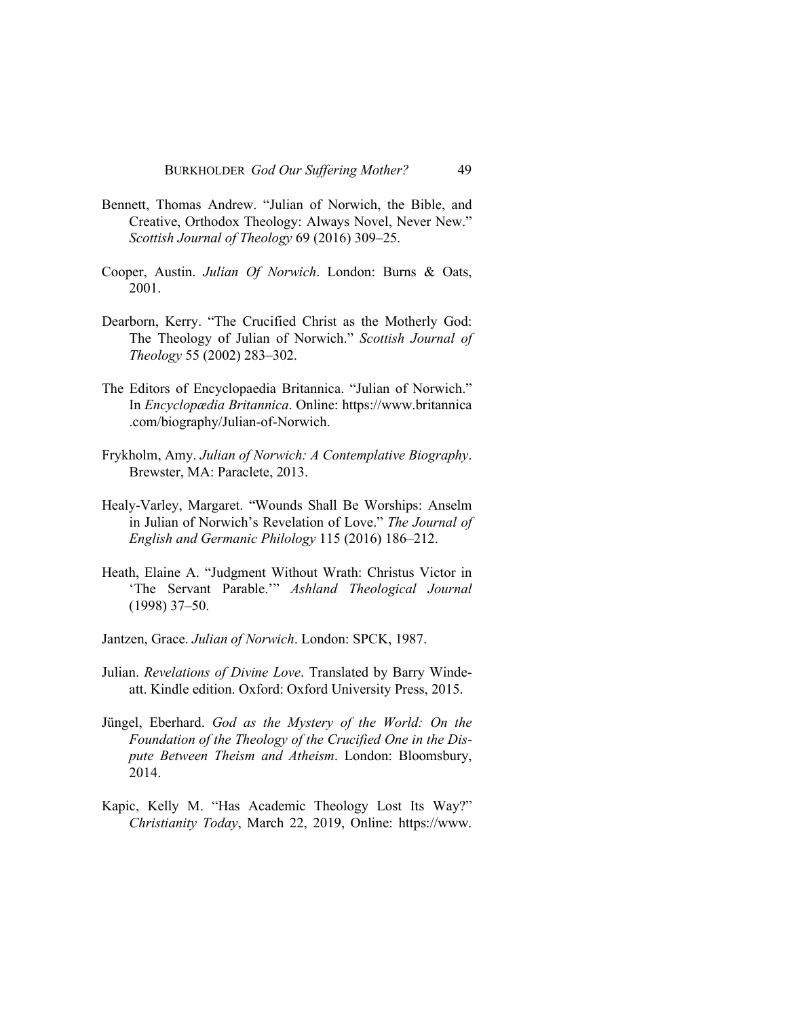- Bennett, Thomas Andrew. "Julian of Norwich, the Bible, and Creative, Orthodox Theology: Always Novel, Never New." *Scottish Journal of Theology* 69 (2016) 309–25.
- Cooper, Austin. *Julian Of Norwich*. London: Burns & Oats, 2001.
- Dearborn, Kerry. "The Crucified Christ as the Motherly God: The Theology of Julian of Norwich." *Scottish Journal of Theology* 55 (2002) 283–302.
- The Editors of Encyclopaedia Britannica. "Julian of Norwich." In *Encyclopædia Britannica*. Online: https://www.britannica .com/biography/Julian-of-Norwich.
- Frykholm, Amy. *Julian of Norwich: A Contemplative Biography*. Brewster, MA: Paraclete, 2013.
- Healy-Varley, Margaret. "Wounds Shall Be Worships: Anselm in Julian of Norwich's Revelation of Love." *The Journal of English and Germanic Philology* 115 (2016) 186–212.
- Heath, Elaine A. "Judgment Without Wrath: Christus Victor in 'The Servant Parable.'" *Ashland Theological Journal* (1998) 37–50.
- Jantzen, Grace. *Julian of Norwich*. London: SPCK, 1987.
- Julian. *Revelations of Divine Love*. Translated by Barry Windeatt. Kindle edition. Oxford: Oxford University Press, 2015.
- Jüngel, Eberhard. *God as the Mystery of the World: On the Foundation of the Theology of the Crucified One in the Dispute Between Theism and Atheism*. London: Bloomsbury, 2014.
- Kapic, Kelly M. "Has Academic Theology Lost Its Way?" *Christianity Today*, March 22, 2019, Online: https://www.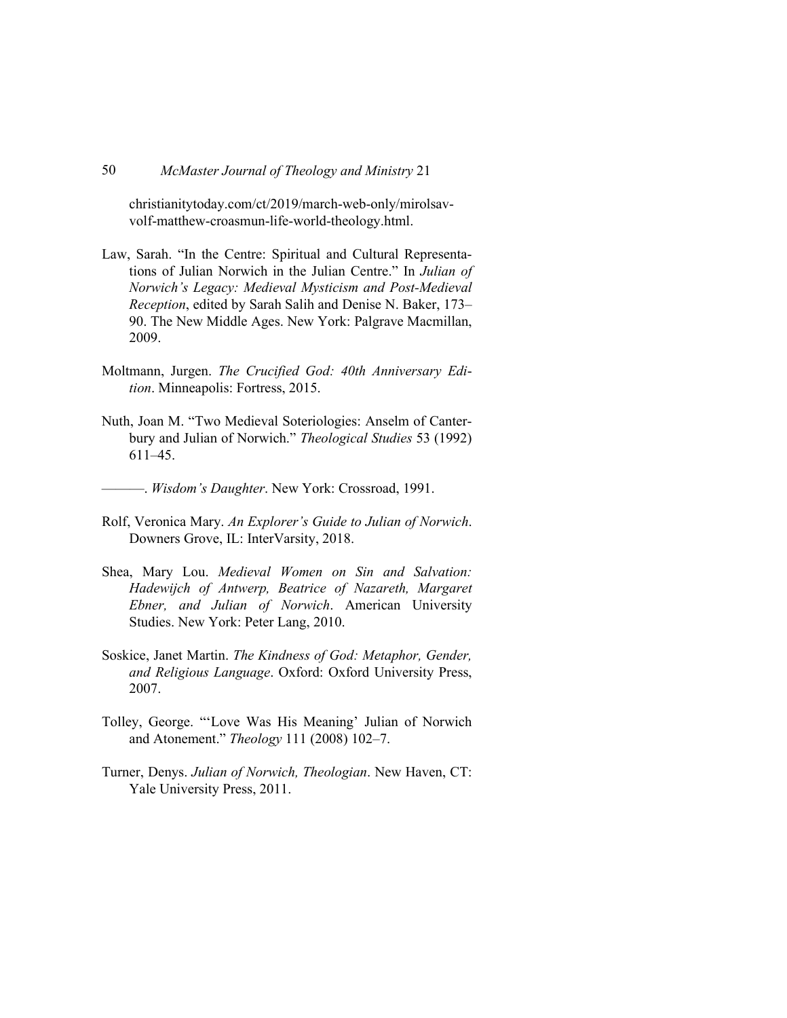christianitytoday.com/ct/2019/march-web-only/mirolsavvolf-matthew-croasmun-life-world-theology.html.

- Law, Sarah. "In the Centre: Spiritual and Cultural Representations of Julian Norwich in the Julian Centre." In *Julian of Norwich's Legacy: Medieval Mysticism and Post-Medieval Reception*, edited by Sarah Salih and Denise N. Baker, 173– 90. The New Middle Ages. New York: Palgrave Macmillan, 2009.
- Moltmann, Jurgen. *The Crucified God: 40th Anniversary Edition*. Minneapolis: Fortress, 2015.
- Nuth, Joan M. "Two Medieval Soteriologies: Anselm of Canterbury and Julian of Norwich." *Theological Studies* 53 (1992) 611–45.
- ———. *Wisdom's Daughter*. New York: Crossroad, 1991.
- Rolf, Veronica Mary. *An Explorer's Guide to Julian of Norwich*. Downers Grove, IL: InterVarsity, 2018.
- Shea, Mary Lou. *Medieval Women on Sin and Salvation: Hadewijch of Antwerp, Beatrice of Nazareth, Margaret Ebner, and Julian of Norwich*. American University Studies. New York: Peter Lang, 2010.
- Soskice, Janet Martin. *The Kindness of God: Metaphor, Gender, and Religious Language*. Oxford: Oxford University Press, 2007.
- Tolley, George. "'Love Was His Meaning' Julian of Norwich and Atonement." *Theology* 111 (2008) 102–7.
- Turner, Denys. *Julian of Norwich, Theologian*. New Haven, CT: Yale University Press, 2011.